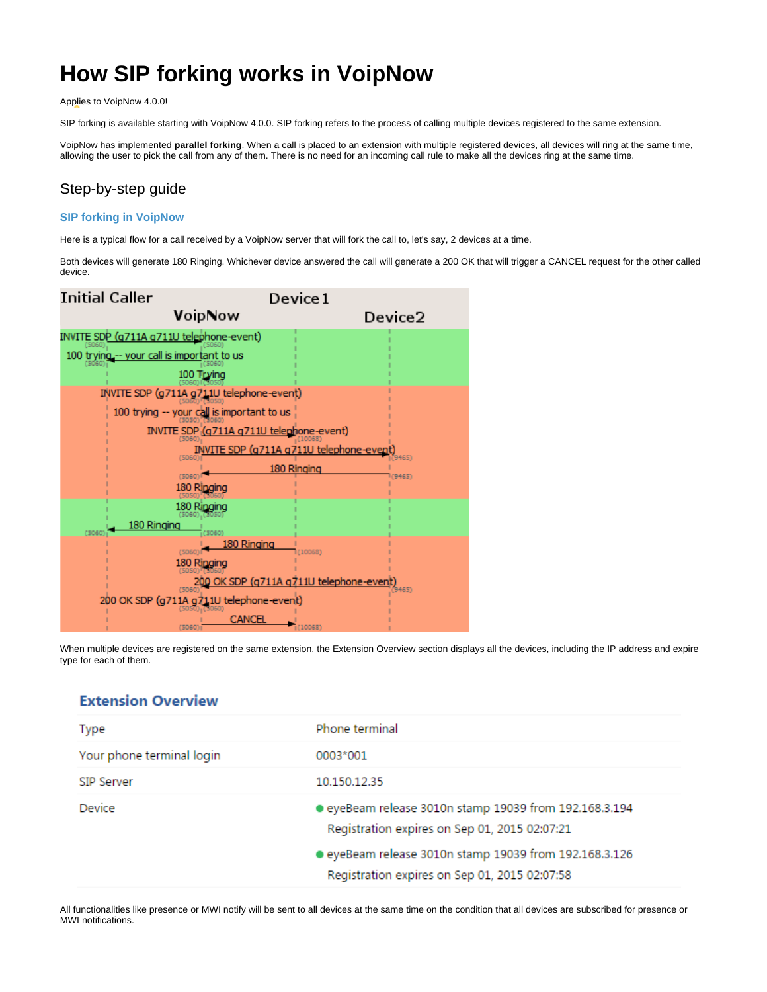# <span id="page-0-0"></span>**How SIP forking works in VoipNow**

Applies to VoipNow 4.0.0!

SIP forking is available starting with VoipNow 4.0.0. SIP forking refers to the process of calling multiple devices registered to the same extension.

VoipNow has implemented **parallel forking**. When a call is placed to an extension with multiple registered devices, all devices will ring at the same time, allowing the user to pick the call from any of them. There is no need for an incoming call rule to make all the devices ring at the same time.

# Step-by-step guide

#### **SIP forking in VoipNow**

Here is a typical flow for a call received by a VoipNow server that will fork the call to, let's say, 2 devices at a time.

Both devices will generate 180 Ringing. Whichever device answered the call will generate a 200 OK that will trigger a CANCEL request for the other called device.



When multiple devices are registered on the same extension, the Extension Overview section displays all the devices, including the IP address and expire type for each of them.

### **Extension Overview**

| Type                      | Phone terminal                                         |
|---------------------------|--------------------------------------------------------|
| Your phone terminal login | 0003*001                                               |
| SIP Server                | 10.150.12.35                                           |
| Device                    | ● eyeBeam release 3010n stamp 19039 from 192.168.3.194 |
|                           | Registration expires on Sep 01, 2015 02:07:21          |

All functionalities like presence or MWI notify will be sent to all devices at the same time on the condition that all devices are subscribed for presence or MWI notifications.